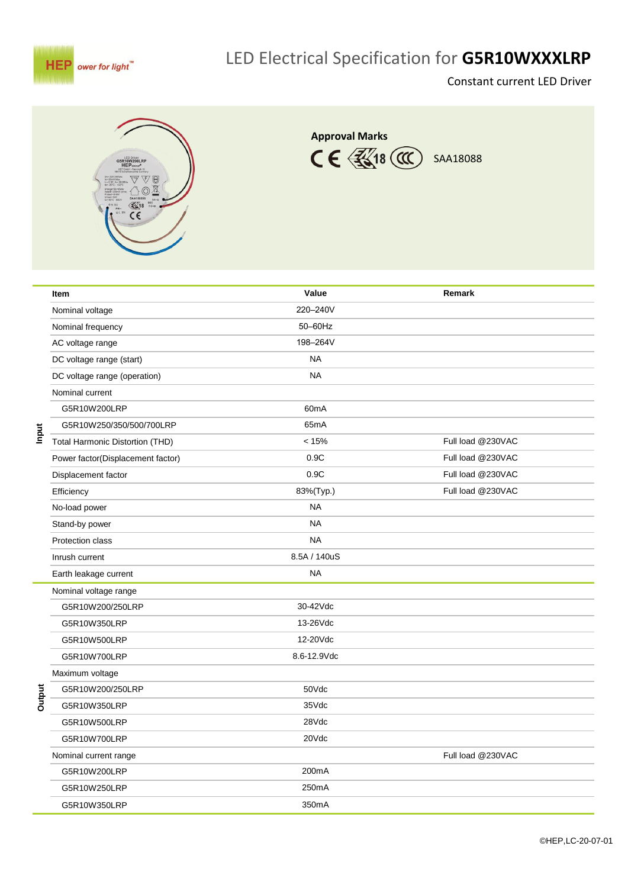

# LED Electrical Specification for **G5R10WXXXLRP**

Constant current LED Driver





|        | <b>Item</b>                            | Value              | Remark            |
|--------|----------------------------------------|--------------------|-------------------|
|        | Nominal voltage                        | 220-240V           |                   |
|        | Nominal frequency                      | 50-60Hz            |                   |
|        | AC voltage range                       | 198-264V           |                   |
|        | DC voltage range (start)               | <b>NA</b>          |                   |
|        | DC voltage range (operation)           | <b>NA</b>          |                   |
|        | Nominal current                        |                    |                   |
|        | G5R10W200LRP                           | 60 <sub>m</sub> A  |                   |
|        | G5R10W250/350/500/700LRP               | 65mA               |                   |
| Input  | <b>Total Harmonic Distortion (THD)</b> | < 15%              | Full load @230VAC |
|        | Power factor(Displacement factor)      | 0.9C               | Full load @230VAC |
|        | Displacement factor                    | 0.9C               | Full load @230VAC |
|        | Efficiency                             | 83%(Typ.)          | Full load @230VAC |
|        | No-load power                          | <b>NA</b>          |                   |
|        | Stand-by power                         | <b>NA</b>          |                   |
|        | Protection class                       | <b>NA</b>          |                   |
|        | Inrush current                         | 8.5A / 140uS       |                   |
|        | Earth leakage current                  | <b>NA</b>          |                   |
|        | Nominal voltage range                  |                    |                   |
|        | G5R10W200/250LRP                       | 30-42Vdc           |                   |
|        | G5R10W350LRP                           | 13-26Vdc           |                   |
|        | G5R10W500LRP                           | 12-20Vdc           |                   |
| Output | G5R10W700LRP                           | 8.6-12.9Vdc        |                   |
|        | Maximum voltage                        |                    |                   |
|        | G5R10W200/250LRP                       | 50Vdc              |                   |
|        | G5R10W350LRP                           | 35Vdc              |                   |
|        | G5R10W500LRP                           | 28Vdc              |                   |
|        | G5R10W700LRP                           | 20Vdc              |                   |
|        | Nominal current range                  |                    | Full load @230VAC |
|        | G5R10W200LRP                           | 200mA              |                   |
|        | G5R10W250LRP                           | 250 <sub>m</sub> A |                   |
|        | G5R10W350LRP                           | 350mA              |                   |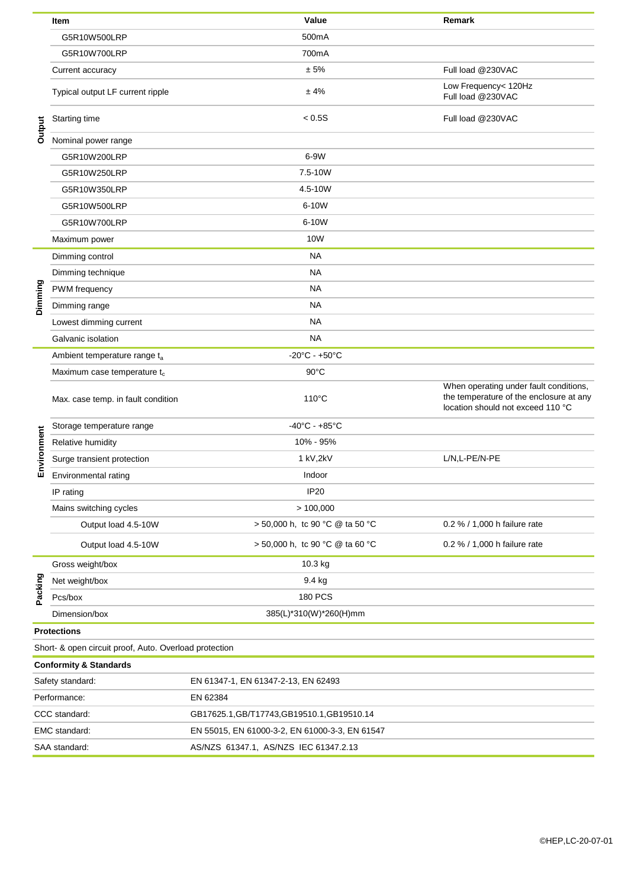|               | Item                                                   | Value                                          | Remark                                                                                                                 |
|---------------|--------------------------------------------------------|------------------------------------------------|------------------------------------------------------------------------------------------------------------------------|
|               | G5R10W500LRP                                           | 500 <sub>m</sub> A                             |                                                                                                                        |
| Output        | G5R10W700LRP                                           | 700mA                                          |                                                                                                                        |
|               | Current accuracy                                       | ± 5%                                           | Full load @230VAC                                                                                                      |
|               | Typical output LF current ripple                       | ±4%                                            | Low Frequency< 120Hz<br>Full load @230VAC                                                                              |
|               | Starting time                                          | < 0.5S                                         | Full load @230VAC                                                                                                      |
|               | Nominal power range                                    |                                                |                                                                                                                        |
|               | G5R10W200LRP                                           | 6-9W                                           |                                                                                                                        |
|               | G5R10W250LRP                                           | 7.5-10W                                        |                                                                                                                        |
|               | G5R10W350LRP                                           | 4.5-10W                                        |                                                                                                                        |
|               | G5R10W500LRP                                           | 6-10W                                          |                                                                                                                        |
|               | G5R10W700LRP                                           | 6-10W                                          |                                                                                                                        |
|               | Maximum power                                          | 10W                                            |                                                                                                                        |
|               | Dimming control                                        | NA                                             |                                                                                                                        |
|               | Dimming technique                                      | <b>NA</b>                                      |                                                                                                                        |
|               | PWM frequency                                          | NA                                             |                                                                                                                        |
| Dimming       | Dimming range                                          | <b>NA</b>                                      |                                                                                                                        |
|               | Lowest dimming current                                 | NA                                             |                                                                                                                        |
|               | Galvanic isolation                                     | <b>NA</b>                                      |                                                                                                                        |
|               | Ambient temperature range ta                           | $-20^{\circ}$ C - $+50^{\circ}$ C              |                                                                                                                        |
|               | Maximum case temperature t <sub>c</sub>                | $90^{\circ}$ C                                 |                                                                                                                        |
|               | Max. case temp. in fault condition                     | $110^{\circ}$ C                                | When operating under fault conditions,<br>the temperature of the enclosure at any<br>location should not exceed 110 °C |
|               | Storage temperature range                              | -40°C - +85°C                                  |                                                                                                                        |
| Environment   | Relative humidity                                      | 10% - 95%                                      |                                                                                                                        |
|               | Surge transient protection                             | 1 kV,2kV                                       | L/N,L-PE/N-PE                                                                                                          |
|               | Environmental rating                                   | Indoor                                         |                                                                                                                        |
|               | IP rating                                              | IP <sub>20</sub>                               |                                                                                                                        |
|               | Mains switching cycles                                 | >100,000                                       |                                                                                                                        |
|               | Output load 4.5-10W                                    | > 50,000 h, tc 90 °C @ ta 50 °C                | 0.2 % / 1,000 h failure rate                                                                                           |
|               | Output load 4.5-10W                                    | > 50,000 h, tc 90 °C @ ta 60 °C                | 0.2 % / 1,000 h failure rate                                                                                           |
|               | Gross weight/box                                       | 10.3 kg                                        |                                                                                                                        |
| Packing       | Net weight/box                                         | 9.4 kg                                         |                                                                                                                        |
|               | Pcs/box                                                | <b>180 PCS</b>                                 |                                                                                                                        |
|               | Dimension/box                                          | 385(L)*310(W)*260(H)mm                         |                                                                                                                        |
|               | Protections                                            |                                                |                                                                                                                        |
|               | Short- & open circuit proof, Auto. Overload protection |                                                |                                                                                                                        |
|               | <b>Conformity &amp; Standards</b>                      |                                                |                                                                                                                        |
|               | Safety standard:                                       | EN 61347-1, EN 61347-2-13, EN 62493            |                                                                                                                        |
| Performance:  |                                                        | EN 62384                                       |                                                                                                                        |
| CCC standard: |                                                        | GB17625.1, GB/T17743, GB19510.1, GB19510.14    |                                                                                                                        |
|               | EMC standard:                                          | EN 55015, EN 61000-3-2, EN 61000-3-3, EN 61547 |                                                                                                                        |
| SAA standard: |                                                        | AS/NZS 61347.1, AS/NZS IEC 61347.2.13          |                                                                                                                        |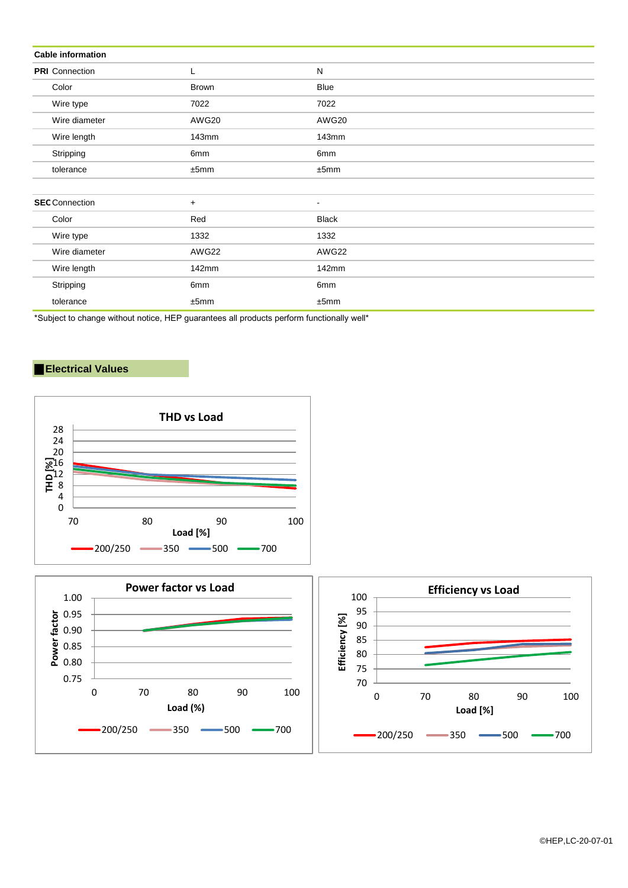| <b>Cable information</b> |              |                |  |  |  |  |
|--------------------------|--------------|----------------|--|--|--|--|
| <b>PRI</b> Connection    | L            | ${\sf N}$      |  |  |  |  |
| Color                    | <b>Brown</b> | Blue           |  |  |  |  |
| Wire type                | 7022         | 7022           |  |  |  |  |
| Wire diameter            | AWG20        | AWG20          |  |  |  |  |
| Wire length              | 143mm        | 143mm          |  |  |  |  |
| Stripping                | 6mm          | 6mm            |  |  |  |  |
| tolerance                | ±5mm         | ±5mm           |  |  |  |  |
|                          |              |                |  |  |  |  |
| <b>SEC</b> Connection    | $+$          | $\blacksquare$ |  |  |  |  |
| Color                    | Red          | <b>Black</b>   |  |  |  |  |
| Wire type                | 1332         | 1332           |  |  |  |  |
| Wire diameter            | AWG22        | AWG22          |  |  |  |  |
| Wire length              | 142mm        | 142mm          |  |  |  |  |
| Stripping                | 6mm          | 6mm            |  |  |  |  |
| tolerance                | ±5mm         | ±5mm           |  |  |  |  |

\*Subject to change without notice, HEP guarantees all products perform functionally well\*

## ▉**Electrical Values**